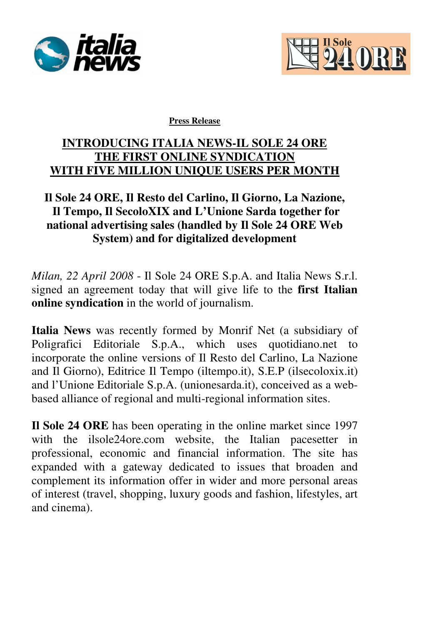



**Press Release**

## **INTRODUCING ITALIA NEWS-IL SOLE 24 ORE THE FIRST ONLINE SYNDICATION WITH FIVE MILLION UNIQUE USERS PER MONTH**

## **Il Sole 24 ORE, Il Resto del Carlino, Il Giorno, La Nazione, Il Tempo, Il SecoloXIX and L'Unione Sarda together for national advertising sales (handled by Il Sole 24 ORE Web System) and for digitalized development**

*Milan, 22 April 2008* - Il Sole 24 ORE S.p.A. and Italia News S.r.l. signed an agreement today that will give life to the **first Italian online syndication** in the world of journalism.

**Italia News** was recently formed by Monrif Net (a subsidiary of Poligrafici Editoriale S.p.A., which uses quotidiano.net to incorporate the online versions of Il Resto del Carlino, La Nazione and Il Giorno), Editrice Il Tempo (iltempo.it), S.E.P (ilsecoloxix.it) and l'Unione Editoriale S.p.A. (unionesarda.it), conceived as a webbased alliance of regional and multi-regional information sites.

**Il Sole 24 ORE** has been operating in the online market since 1997 with the ilsole24ore.com website, the Italian pacesetter in professional, economic and financial information. The site has expanded with a gateway dedicated to issues that broaden and complement its information offer in wider and more personal areas of interest (travel, shopping, luxury goods and fashion, lifestyles, art and cinema).